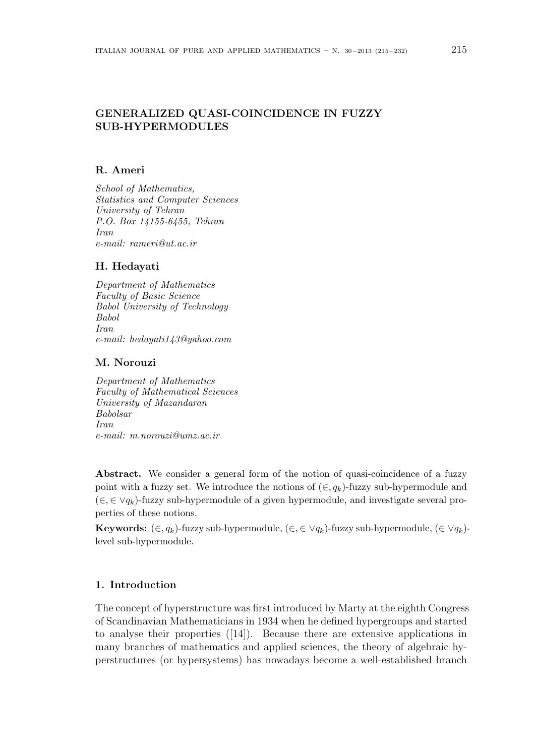## **GENERALIZED QUASI-COINCIDENCE IN FUZZY SUB-HYPERMODULES**

# **R. Ameri**

*School of Mathematics, Statistics and Computer Sciences University of Tehran P.O. Box 14155-6455, Tehran Iran e-mail: rameri@ut.ac.ir*

### **H. Hedayati**

*Department of Mathematics Faculty of Basic Science Babol University of Technology Babol Iran e-mail: hedayati143@yahoo.com*

### **M. Norouzi**

*Department of Mathematics Faculty of Mathematical Sciences University of Mazandaran Babolsar Iran e-mail: m.norouzi@umz.ac.ir*

**Abstract.** We consider a general form of the notion of quasi-coincidence of a fuzzy point with a fuzzy set. We introduce the notions of  $(\epsilon, q_k)$ -fuzzy sub-hypermodule and (*∈, ∈ ∨qk*)-fuzzy sub-hypermodule of a given hypermodule, and investigate several properties of these notions.

**Keywords:**  $(\in, q_k)$ -fuzzy sub-hypermodule,  $(\in, \in \vee q_k)$ -fuzzy sub-hypermodule,  $(\in \vee q_k)$ level sub-hypermodule.

## **1. Introduction**

The concept of hyperstructure was first introduced by Marty at the eighth Congress of Scandinavian Mathematicians in 1934 when he defined hypergroups and started to analyse their properties ([14]). Because there are extensive applications in many branches of mathematics and applied sciences, the theory of algebraic hyperstructures (or hypersystems) has nowadays become a well-established branch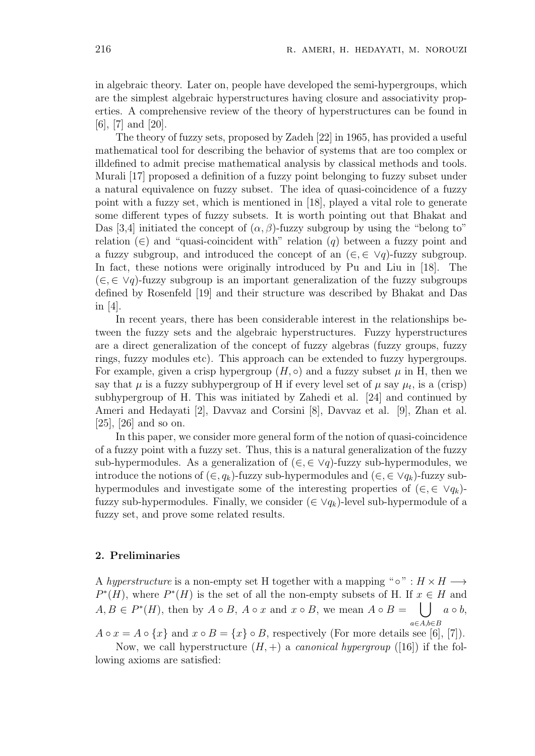in algebraic theory. Later on, people have developed the semi-hypergroups, which are the simplest algebraic hyperstructures having closure and associativity properties. A comprehensive review of the theory of hyperstructures can be found in [6], [7] and [20].

The theory of fuzzy sets, proposed by Zadeh [22] in 1965, has provided a useful mathematical tool for describing the behavior of systems that are too complex or illdefined to admit precise mathematical analysis by classical methods and tools. Murali [17] proposed a definition of a fuzzy point belonging to fuzzy subset under a natural equivalence on fuzzy subset. The idea of quasi-coincidence of a fuzzy point with a fuzzy set, which is mentioned in [18], played a vital role to generate some different types of fuzzy subsets. It is worth pointing out that Bhakat and Das [3,4] initiated the concept of  $(\alpha, \beta)$ -fuzzy subgroup by using the "belong to" relation (*∈*) and "quasi-coincident with" relation (*q*) between a fuzzy point and a fuzzy subgroup, and introduced the concept of an  $(\in, \in \vee q)$ -fuzzy subgroup. In fact, these notions were originally introduced by Pu and Liu in [18]. The (*∈,∈ ∨q*)-fuzzy subgroup is an important generalization of the fuzzy subgroups defined by Rosenfeld [19] and their structure was described by Bhakat and Das in [4].

In recent years, there has been considerable interest in the relationships between the fuzzy sets and the algebraic hyperstructures. Fuzzy hyperstructures are a direct generalization of the concept of fuzzy algebras (fuzzy groups, fuzzy rings, fuzzy modules etc). This approach can be extended to fuzzy hypergroups. For example, given a crisp hypergroup  $(H, \circ)$  and a fuzzy subset  $\mu$  in H, then we say that  $\mu$  is a fuzzy subhypergroup of H if every level set of  $\mu$  say  $\mu_t$ , is a (crisp) subhypergroup of H. This was initiated by Zahedi et al. [24] and continued by Ameri and Hedayati [2], Davvaz and Corsini [8], Davvaz et al. [9], Zhan et al. [25], [26] and so on.

In this paper, we consider more general form of the notion of quasi-coincidence of a fuzzy point with a fuzzy set. Thus, this is a natural generalization of the fuzzy sub-hypermodules. As a generalization of  $(\in, \in \vee q)$ -fuzzy sub-hypermodules, we introduce the notions of (*∈, qk*)-fuzzy sub-hypermodules and (*∈, ∈ ∨qk*)-fuzzy subhypermodules and investigate some of the interesting properties of  $(\in, \in \vee q_k)$ fuzzy sub-hypermodules. Finally, we consider  $(\in \vee q_k)$ -level sub-hypermodule of a fuzzy set, and prove some related results.

#### **2. Preliminaries**

A *hyperstructure* is a non-empty set H together with a mapping " $\circ$ " :  $H \times H \longrightarrow$  $P^*(H)$ , where  $P^*(H)$  is the set of all the non-empty subsets of H. If  $x \in H$  and *A, B ∈ P ∗* (*H*), then by *A ◦ B*, *A ◦ x* and *x ◦ B*, we mean *A ◦ B* = ∪ *a ◦ b*, *a∈A,b∈B*

*A*  $\circ$  *x* = *A*  $\circ$  {*x}* and *x*  $\circ$  *B* = {*x}*  $\circ$  *B*, respectively (For more details see [6], [7]).

Now, we call hyperstructure  $(H, +)$  a *canonical hypergroup* ([16]) if the following axioms are satisfied: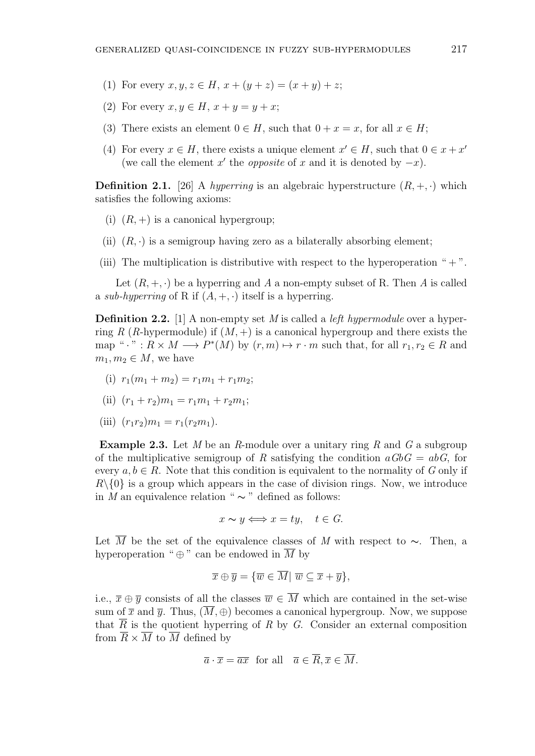- (1) For every  $x, y, z \in H$ ,  $x + (y + z) = (x + y) + z$ ;
- (2) For every  $x, y \in H$ ,  $x + y = y + x$ ;
- (3) There exists an element  $0 \in H$ , such that  $0 + x = x$ , for all  $x \in H$ ;
- (4) For every  $x \in H$ , there exists a unique element  $x' \in H$ , such that  $0 \in x + x'$ (we call the element  $x'$  the *opposite* of  $x$  and it is denoted by  $-x$ ).

**Definition 2.1.** [26] A *hyperring* is an algebraic hyperstructure  $(R, +, \cdot)$  which satisfies the following axioms:

- (i)  $(R, +)$  is a canonical hypergroup;
- (ii)  $(R, \cdot)$  is a semigroup having zero as a bilaterally absorbing element;
- (iii) The multiplication is distributive with respect to the hyperoperation " $+$ ".

Let  $(R, +, \cdot)$  be a hyperring and A a non-empty subset of R. Then A is called a *sub-hyperring* of R if  $(A, +, \cdot)$  itself is a hyperring.

**Definition 2.2.** [1] A non-empty set *M* is called a *left hypermodule* over a hyperring *R* (*R*-hypermodule) if  $(M, +)$  is a canonical hypergroup and there exists the map " $\cdot$  " :  $R \times M \longrightarrow P^*(M)$  by  $(r, m) \mapsto r \cdot m$  such that, for all  $r_1, r_2 \in R$  and  $m_1, m_2 \in M$ , we have

- (i)  $r_1(m_1 + m_2) = r_1m_1 + r_1m_2;$
- (ii)  $(r_1 + r_2)m_1 = r_1m_1 + r_2m_1$ ;
- (iii)  $(r_1r_2)m_1 = r_1(r_2m_1).$

**Example 2.3.** Let *M* be an *R*-module over a unitary ring *R* and *G* a subgroup of the multiplicative semigroup of R satisfying the condition  $aGbG = abG$ , for every  $a, b \in R$ . Note that this condition is equivalent to the normality of *G* only if  $R\setminus\{0\}$  is a group which appears in the case of division rings. Now, we introduce in *M* an equivalence relation "  $\sim$  " defined as follows:

$$
x \sim y \Longleftrightarrow x = ty, \quad t \in G.
$$

Let  $\overline{M}$  be the set of the equivalence classes of *M* with respect to ∼. Then, a hyperoperation " $\oplus$ " can be endowed in  $\overline{M}$  by

$$
\overline{x} \oplus \overline{y} = \{ \overline{w} \in \overline{M} | \ \overline{w} \subseteq \overline{x} + \overline{y} \},
$$

i.e.,  $\bar{x} \oplus \bar{y}$  consists of all the classes  $\bar{w} \in \overline{M}$  which are contained in the set-wise sum of  $\bar{x}$  and  $\bar{y}$ . Thus,  $(M, \oplus)$  becomes a canonical hypergroup. Now, we suppose that  $\overline{R}$  is the quotient hyperring of  $R$  by  $G$ . Consider an external composition from  $\overline{R} \times \overline{M}$  to  $\overline{M}$  defined by

$$
\overline{a} \cdot \overline{x} = \overline{ax}
$$
 for all  $\overline{a} \in \overline{R}, \overline{x} \in \overline{M}$ .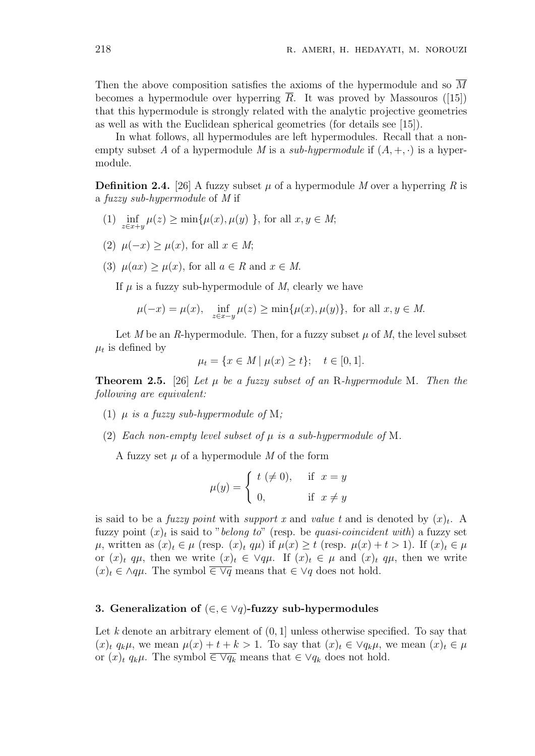Then the above composition satisfies the axioms of the hypermodule and so  $\overline{M}$ becomes a hypermodule over hyperring *R*. It was proved by Massouros ([15]) that this hypermodule is strongly related with the analytic projective geometries as well as with the Euclidean spherical geometries (for details see [15]).

In what follows, all hypermodules are left hypermodules. Recall that a nonempty subset *A* of a hypermodule *M* is a *sub-hypermodule* if  $(A, +, \cdot)$  is a hypermodule.

**Definition 2.4.** [26] A fuzzy subset  $\mu$  of a hypermodule *M* over a hyperring *R* is a *fuzzy sub-hypermodule* of *M* if

- $(1)$  inf *z∈x*+*y*  $\mu(z) \ge \min\{\mu(x), \mu(y)\}$ , for all  $x, y \in M$ ;
- (2)  $\mu(-x) > \mu(x)$ , for all  $x \in M$ ;
- (3)  $\mu(ax) > \mu(x)$ , for all  $a \in R$  and  $x \in M$ .

If  $\mu$  is a fuzzy sub-hypermodule of  $M$ , clearly we have

$$
\mu(-x) = \mu(x), \quad \inf_{z \in x-y} \mu(z) \ge \min{\mu(x), \mu(y)}, \text{ for all } x, y \in M.
$$

Let *M* be an *R*-hypermodule. Then, for a fuzzy subset  $\mu$  of *M*, the level subset  $\mu_t$  is defined by

$$
\mu_t = \{ x \in M \mid \mu(x) \ge t \}; \quad t \in [0, 1].
$$

**Theorem 2.5.** [26] *Let µ be a fuzzy subset of an* R*-hypermodule* M*. Then the following are equivalent:*

- (1)  $\mu$  *is a fuzzy sub-hypermodule of* M;
- (2) *Each non-empty level subset of*  $\mu$  *is a sub-hypermodule of* M.

A fuzzy set  $\mu$  of a hypermodule M of the form

$$
\mu(y) = \begin{cases} t \ (\neq 0), & \text{if } x = y \\ 0, & \text{if } x \neq y \end{cases}
$$

is said to be a *fuzzy point* with *support* x and *value* t and is denoted by  $(x)_t$ . A fuzzy point  $(x)_t$  is said to "*belong to*" (resp. be *quasi-coincident with*) a fuzzy set  $\mu$ , written as  $(x)_t \in \mu$  (resp.  $(x)_t q\mu$ ) if  $\mu(x) \geq t$  (resp.  $\mu(x) + t > 1$ ). If  $(x)_t \in \mu$ or  $(x)_t$   $q\mu$ , then we write  $(x)_t \in \forall q\mu$ . If  $(x)_t \in \mu$  and  $(x)_t$   $q\mu$ , then we write  $(x)_t \in \Lambda q\mu$ . The symbol  $\overline{\in Vq}$  means that  $\in Vq$  does not hold.

### **3. Generalization of** (*∈,∈ ∨q*)**-fuzzy sub-hypermodules**

Let *k* denote an arbitrary element of (0*,* 1] unless otherwise specified. To say that  $(x)$ <sup>*t*</sup>  $q_k\mu$ , we mean  $\mu(x) + t + k > 1$ . To say that  $(x)_t \in \forall q_k\mu$ , we mean  $(x)_t \in \mu$ or  $(x)$ *t*  $q_k\mu$ . The symbol  $\overline{\in Vq_k}$  means that  $\in Vq_k$  does not hold.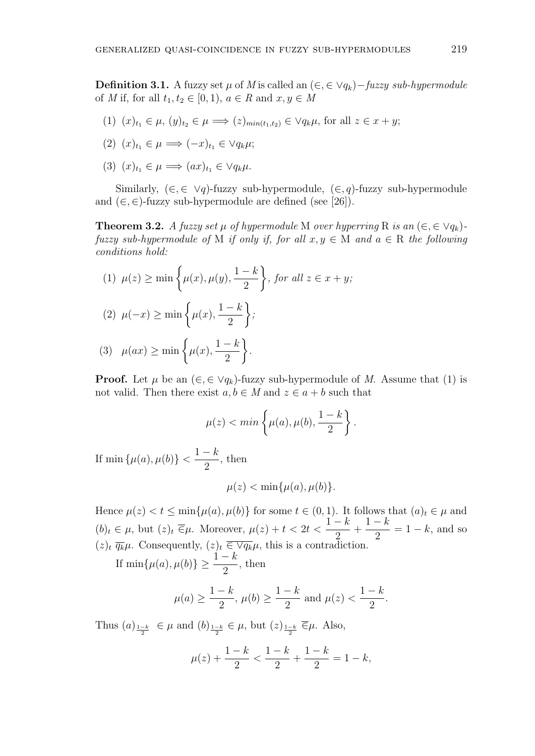**Definition 3.1.** A fuzzy set  $\mu$  of *M* is called an ( $\in$ ,  $\in$   $\vee$ *q*<sub>*k*</sub>)*−fuzzy sub-hypermodule* of *M* if, for all  $t_1, t_2 \in [0, 1), a \in R$  and  $x, y \in M$ 

- $(1)$   $(x)_{t_1} \in \mu$ ,  $(y)_{t_2} \in \mu \implies (z)_{min(t_1,t_2)} \in \forall q_k \mu$ , for all  $z \in x + y$ ;
- $(2)$   $(x)_{t_1} \in \mu \implies (-x)_{t_1} \in \vee q_k \mu;$
- $(3)$   $(x)_{t_1} \in \mu \implies (ax)_{t_1} \in \vee q_k \mu.$

Similarly,  $(\in, \in \vee q)$ -fuzzy sub-hypermodule,  $(\in, q)$ -fuzzy sub-hypermodule and  $(\in, \in)$ -fuzzy sub-hypermodule are defined (see [26]).

**Theorem 3.2.** *A fuzzy set*  $\mu$  *of hypermodule* M *over hyperring* R *is an* ( $\in$ ,  $\in$   $\vee$  $q_k$ )*fuzzy sub-hypermodule of* M *if only if, for all*  $x, y \in M$  *and*  $a \in R$  *the following conditions hold:*

(1) 
$$
\mu(z) \ge \min\left\{\mu(x), \mu(y), \frac{1-k}{2}\right\}
$$
, for all  $z \in x + y$ ;  
\n(2)  $\mu(-x) \ge \min\left\{\mu(x), \frac{1-k}{2}\right\}$ ;  
\n(3)  $\mu(ax) \ge \min\left\{\mu(x), \frac{1-k}{2}\right\}$ .

**Proof.** Let  $\mu$  be an  $(\epsilon, \epsilon \vee q_k)$ -fuzzy sub-hypermodule of *M*. Assume that (1) is not valid. Then there exist  $a, b \in M$  and  $z \in a + b$  such that

$$
\mu(z) < min\left\{\mu(a), \mu(b), \frac{1-k}{2}\right\}.
$$

If min  $\{\mu(a), \mu(b)\}$  $1-k$ 2 , then

$$
\mu(z) < \min\{\mu(a), \mu(b)\}.
$$

Hence  $\mu(z) < t \le \min\{\mu(a), \mu(b)\}\$ for some  $t \in (0, 1)$ . It follows that  $(a)_t \in \mu$  and  $(b)_t \in \mu$ , but  $(z)_t \, \overline{\in} \mu$ . Moreover,  $\mu(z) + t < 2t$  $1 - k$ 2  $+\frac{1-k}{2}$  $\frac{\kappa}{2} = 1 - k$ , and so  $(z)$ <sup>*t*</sup>  $\overline{q_k}\mu$ . Consequently,  $(z)_t \in \overline{\vee q_k}\mu$ , this is a contradiction.

If  $\min\{\mu(a), \mu(b)\} \ge \frac{1-k}{2}$ , then

$$
\mu(a) \ge \frac{1-k}{2}
$$
,  $\mu(b) \ge \frac{1-k}{2}$  and  $\mu(z) < \frac{1-k}{2}$ .

Thus  $(a)_{\frac{1-k}{2}}$  ∈ *μ* and  $(b)_{\frac{1-k}{2}}$  ∈ *μ*, but  $(z)_{\frac{1-k}{2}}$  ∈ *μ*. Also,

$$
\mu(z) + \frac{1-k}{2} < \frac{1-k}{2} + \frac{1-k}{2} = 1 - k,
$$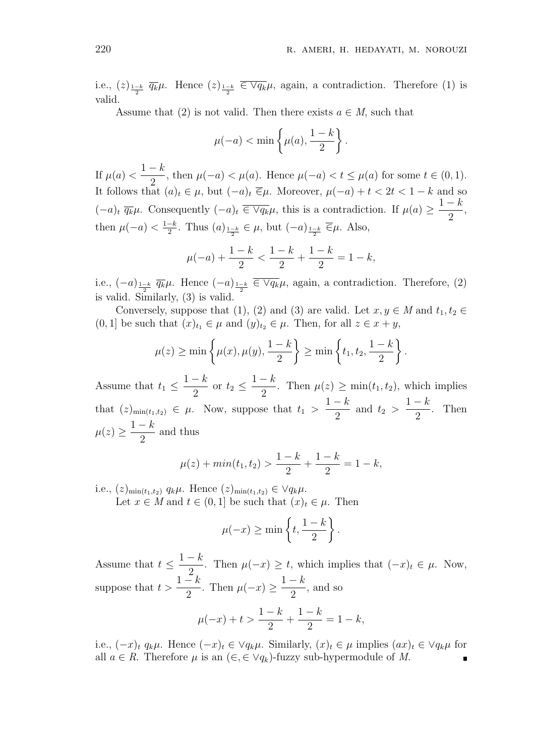i.e.,  $(z)_{\frac{1-k}{2}}$   $\overline{q_k}\mu$ . Hence  $(z)_{\frac{1-k}{2}} \in \overline{\vee q_k}\mu$ , again, a contradiction. Therefore (1) is valid.

Assume that (2) is not valid. Then there exists  $a \in M$ , such that

$$
\mu(-a) < \min\left\{\mu(a), \frac{1-k}{2}\right\}.
$$

If  $\mu(a) < \frac{1-k}{2}$  $\frac{n}{2}$ , then  $\mu(-a) < \mu(a)$ . Hence  $\mu(-a) < t \leq \mu(a)$  for some  $t \in (0,1)$ . It follows that  $(a)_t \in \mu$ , but  $(-a)_t \in \mu$ . Moreover,  $\mu(-a) + t < 2t < 1 - k$  and so  $(-a)_t \overline{q_k} \mu$ . Consequently  $(-a)_t \overline{\in \vee q_k} \mu$ , this is a contradiction. If  $\mu(a) \geq$  $1 - k$ 2 , then  $\mu(-a) < \frac{1-k}{2}$ . Thus  $(a)_{\frac{1-k}{2}} \in \mu$ , but  $(-a)_{\frac{1-k}{2}} \overline{\in} \mu$ . Also,

$$
\mu(-a) + \frac{1-k}{2} < \frac{1-k}{2} + \frac{1-k}{2} = 1 - k,
$$

i.e.,  $(-a)_{\frac{1-k}{2}}$   $\overline{q_k}\mu$ . Hence  $(-a)_{\frac{1-k}{2}}$   $\overline{\in} \vee \overline{q_k}\mu$ , again, a contradiction. Therefore, (2) is valid. Similarly, (3) is valid.

Conversely, suppose that (1), (2) and (3) are valid. Let  $x, y \in M$  and  $t_1, t_2 \in$  $(0,1]$  be such that  $(x)_{t_1} \in \mu$  and  $(y)_{t_2} \in \mu$ . Then, for all  $z \in x + y$ ,

$$
\mu(z) \ge \min \left\{ \mu(x), \mu(y), \frac{1-k}{2} \right\} \ge \min \left\{ t_1, t_2, \frac{1-k}{2} \right\}.
$$

Assume that  $t_1 \leq$  $1 - k$  $\frac{\pi}{2}$  or  $t_2 \leq$  $1 - k$  $\frac{n}{2}$ . Then  $\mu(z) \ge \min(t_1, t_2)$ , which implies that  $(z)_{\min(t_1,t_2)} \in \mu$ . Now, suppose that  $t_1 >$  $1 - k$  $\frac{\pi}{2}$  and  $t_2$  >  $1 - k$ 2 . Then  $\mu(z) \geq$ 1 *− k* 2 and thus

$$
\mu(z) + \min(t_1, t_2) > \frac{1 - k}{2} + \frac{1 - k}{2} = 1 - k,
$$

i.e.,  $(z)_{\min(t_1,t_2)} q_k \mu$ . Hence  $(z)_{\min(t_1,t_2)} \in \forall q_k \mu$ .

Let  $x \in M$  and  $t \in (0,1]$  be such that  $(x)_t \in \mu$ . Then

$$
\mu(-x) \ge \min\left\{t, \frac{1-k}{2}\right\}
$$

*.*

Assume that  $t \leq$ 1 *− k*  $\frac{\pi}{2}$ . Then  $\mu(-x) \geq t$ , which implies that  $(-x)_t \in \mu$ . Now, suppose that  $t > \frac{1-k}{2}$  $\frac{\pi}{2}$ . Then  $\mu(-x) \ge$  $1 - k$ 2 , and so *µ*(*−x*) + *t >*  $1 - k$  $+\frac{1-k}{2}$  $\frac{k}{2} = 1 - k$ ,

i.e.,  $(-x)_t q_k \mu$ . Hence  $(-x)_t \in \vee q_k \mu$ . Similarly,  $(x)_t \in \mu$  implies  $(ax)_t \in \vee q_k \mu$  for all  $a \in R$ . Therefore  $\mu$  is an  $(\epsilon, \epsilon \vee q_k)$ -fuzzy sub-hypermodule of M.

2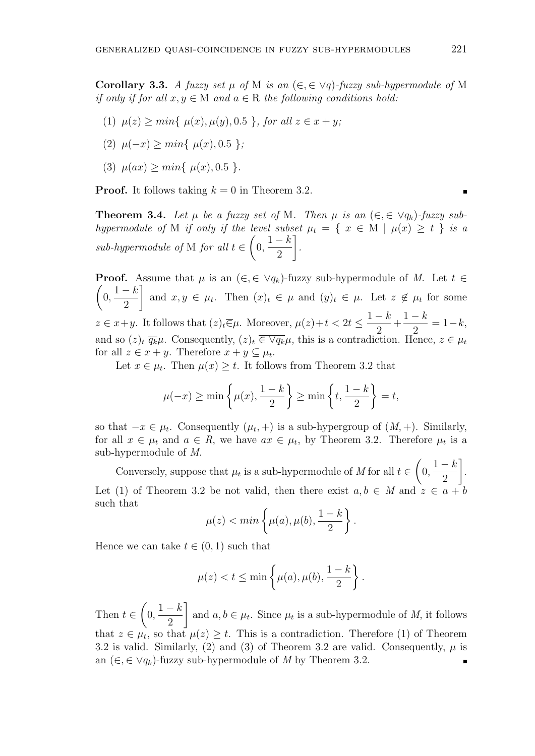**Corollary 3.3.** *A fuzzy set*  $\mu$  *of* M *is an* ( $\in$ , $\in$   $\vee$ *q*)*-fuzzy sub-hypermodule of* M *if only if for all*  $x, y \in M$  *and*  $a \in R$  *the following conditions hold:* 

- $\mu(z) > min\{ \mu(x), \mu(y), 0.5 \}$ *, for all*  $z \in x + y$ ;
- $(2)$   $\mu(-x) > min\{ \mu(x), 0.5 \}$ ;
- $(3)$   $\mu(ax) \geq min\{ \mu(x), 0.5 \}.$

**Proof.** It follows taking  $k = 0$  in Theorem 3.2.

**Theorem 3.4.** Let  $\mu$  be a fuzzy set of M. Then  $\mu$  is an  $(\in, \in \vee q_k)$ -fuzzy sub*hypermodule of* M *if only if the level subset*  $\mu_t = \{ x \in M \mid \mu(x) \ge t \}$  *is a sub-hypermodule of* M *for all t ∈*  $\sqrt{ }$  $\frac{1-k}{2}$ 2 ] *.*

**Proof.** Assume that  $\mu$  is an  $(\epsilon, \epsilon \lor q_k)$ -fuzzy sub-hypermodule of *M*. Let  $t \in$  $\sqrt{ }$  $0, \frac{1-k}{2}$ 2 ] and  $x, y \in \mu_t$ . Then  $(x)_t \in \mu$  and  $(y)_t \in \mu$ . Let  $z \notin \mu_t$  for some  $z \in x+y$ . It follows that  $(z)_t \overline{\in} \mu$ . Moreover,  $\mu(z) + t < 2t \leq$  $1 - k$ 2  $+\frac{1-k}{2}$  $\frac{k}{2} = 1 - k$ , and so  $(z)_t \overline{q_k} \mu$ . Consequently,  $(z)_t \in \overline{\vee q_k} \mu$ , this is a contradiction. Hence,  $z \in \mu_t$ for all  $z \in x + y$ . Therefore  $x + y \subseteq \mu_t$ .

Let  $x \in \mu_t$ . Then  $\mu(x) \geq t$ . It follows from Theorem 3.2 that

$$
\mu(-x) \ge \min\left\{\mu(x), \frac{1-k}{2}\right\} \ge \min\left\{t, \frac{1-k}{2}\right\} = t,
$$

so that  $-x \in \mu_t$ . Consequently  $(\mu_t, +)$  is a sub-hypergroup of  $(M, +)$ . Similarly, for all  $x \in \mu_t$  and  $a \in R$ , we have  $ax \in \mu_t$ , by Theorem 3.2. Therefore  $\mu_t$  is a sub-hypermodule of *M*.

Conversely, suppose that  $\mu_t$  is a sub-hypermodule of *M* for all  $t \in$  $\sqrt{ }$  $\frac{1-k}{2}$ 2 ] . Let (1) of Theorem 3.2 be not valid, then there exist  $a, b \in M$  and  $z \in a + b$ such that

$$
\mu(z) < min\left\{\mu(a), \mu(b), \frac{1-k}{2}\right\}.
$$

Hence we can take  $t \in (0,1)$  such that

$$
\mu(z) < t \le \min\left\{\mu(a), \mu(b), \frac{1-k}{2}\right\}.
$$

 $\sqrt{ }$ ]  $0, \frac{1-k}{2}$ Then *t ∈* and  $a, b \in \mu_t$ . Since  $\mu_t$  is a sub-hypermodule of *M*, it follows 2 that  $z \in \mu_t$ , so that  $\mu(z) \geq t$ . This is a contradiction. Therefore (1) of Theorem 3.2 is valid. Similarly, (2) and (3) of Theorem 3.2 are valid. Consequently,  $\mu$  is an  $(∈, ∈ ∨q<sub>k</sub>)$ -fuzzy sub-hypermodule of *M* by Theorem 3.2. п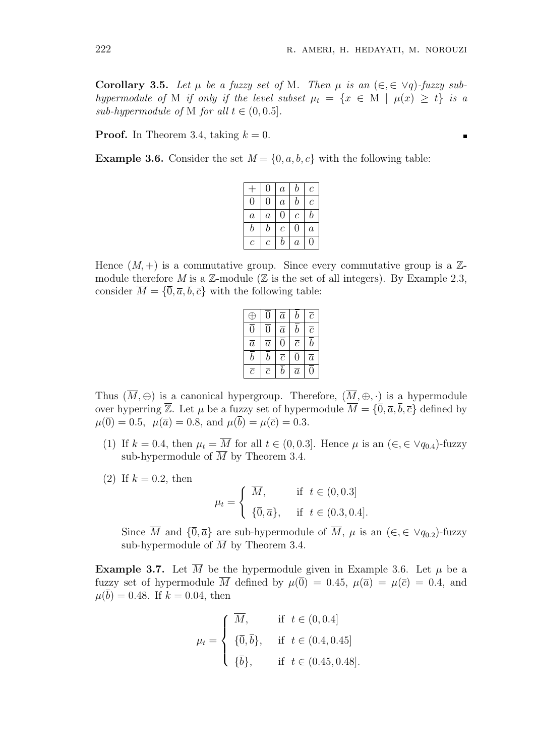**Corollary 3.5.** Let  $\mu$  be a fuzzy set of M. Then  $\mu$  is an  $(\in, \in \forall q)$ -fuzzy sub*hypermodule of* M *if only if the level subset*  $\mu_t = \{x \in M \mid \mu(x) \geq t\}$  *is a sub-hypermodule of* M *for all*  $t \in (0, 0.5]$ *.* 

**Proof.** In Theorem 3.4, taking  $k = 0$ .

**Example 3.6.** Consider the set  $M = \{0, a, b, c\}$  with the following table:

|                | $\left( \right)$ | $\boldsymbol{a}$ | $\boldsymbol{b}$ | $\mathcal C$     |
|----------------|------------------|------------------|------------------|------------------|
| 0              | 0                | $\boldsymbol{a}$ | b                | $\mathcal C$     |
| $\overline{a}$ | $\boldsymbol{a}$ | 0                | $\mathcal C$     | b                |
| b              | b                | $\mathcal C$     | $\left( \right)$ | $\boldsymbol{a}$ |
| C              | С                | b                | $\it a$          | 0                |

Hence  $(M,+)$  is a commutative group. Since every commutative group is a  $\mathbb{Z}$ module therefore *M* is a  $\mathbb{Z}$ -module ( $\mathbb{Z}$  is the set of all integers). By Example 2.3, consider  $\overline{M} = {\overline{0}, \overline{a}, \overline{b}, \overline{c}}$  with the following table:

| Æ              | $\overline{0}$ | $\overline{a}$ | b              | $\overline{c}$ |
|----------------|----------------|----------------|----------------|----------------|
| $\overline{0}$ | $\overline{0}$ | $\overline{a}$ | b              | $\overline{c}$ |
| $\overline{a}$ | $\overline{a}$ | $\overline{0}$ | $\overline{c}$ | b              |
| $\overline{b}$ | $\bar{b}$      | $\overline{c}$ | $\overline{0}$ | $\overline{a}$ |
| $\overline{c}$ | $\overline{c}$ | b              | $\overline{a}$ | $\overline{0}$ |

Thus  $(\overline{M}, \oplus)$  is a canonical hypergroup. Therefore,  $(\overline{M}, \oplus, \cdot)$  is a hypermodule over hyperring  $\overline{\mathbb{Z}}$ . Let  $\mu$  be a fuzzy set of hypermodule  $\overline{M} = {\overline{0}, \overline{a}, \overline{b}, \overline{c}}$  defined by  $\mu(\overline{0}) = 0.5$ ,  $\mu(\overline{a}) = 0.8$ , and  $\mu(\overline{b}) = \mu(\overline{c}) = 0.3$ .

- (1) If  $k = 0.4$ , then  $\mu_t = \overline{M}$  for all  $t \in (0, 0.3]$ . Hence  $\mu$  is an  $(\epsilon, \epsilon \vee q_{0.4})$ -fuzzy sub-hypermodule of  $\overline{M}$  by Theorem 3.4.
- (2) If  $k = 0.2$ , then

$$
\mu_t = \begin{cases} \overline{M}, & \text{if } t \in (0, 0.3] \\ \{\overline{0}, \overline{a}\}, & \text{if } t \in (0.3, 0.4]. \end{cases}
$$

Since  $\overline{M}$  and  ${\{\overline{0}, \overline{a}\}}$  are sub-hypermodule of  $\overline{M}$ ,  $\mu$  is an  $(\in, \in \vee q_{0.2})$ -fuzzy sub-hypermodule of  $\overline{M}$  by Theorem 3.4.

**Example 3.7.** Let  $\overline{M}$  be the hypermodule given in Example 3.6. Let  $\mu$  be a fuzzy set of hypermodule  $\overline{M}$  defined by  $\mu(\overline{0}) = 0.45$ ,  $\mu(\overline{a}) = \mu(\overline{c}) = 0.4$ , and  $\mu(\bar{b}) = 0.48$ . If  $k = 0.04$ , then

$$
\mu_t = \begin{cases} \overline{M}, & \text{if } t \in (0, 0.4] \\ \{\overline{0}, \overline{b}\}, & \text{if } t \in (0.4, 0.45] \\ \{\overline{b}\}, & \text{if } t \in (0.45, 0.48]. \end{cases}
$$

П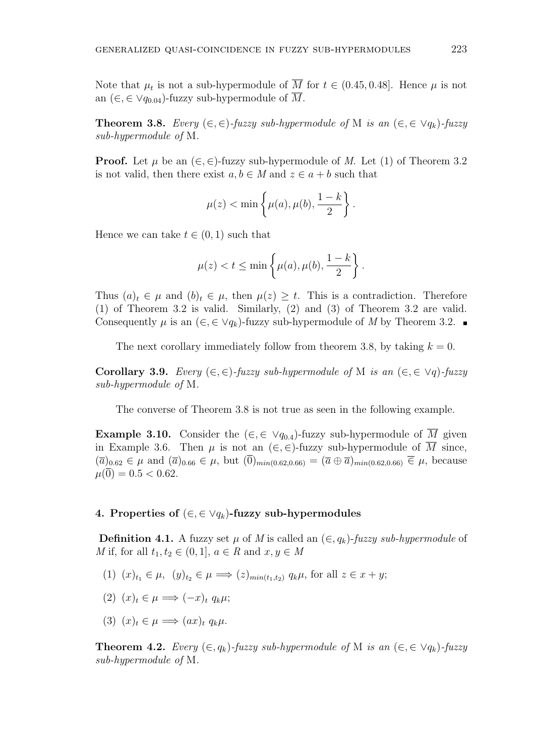Note that  $\mu_t$  is not a sub-hypermodule of *M* for  $t \in (0.45, 0.48]$ . Hence  $\mu$  is not an  $(\in, \in \vee q_{0.04})$ -fuzzy sub-hypermodule of M.

**Theorem 3.8.** *Every* (*∈,∈*)*-fuzzy sub-hypermodule of* M *is an* (*∈,∈ ∨qk*)*-fuzzy sub-hypermodule of* M*.*

**Proof.** Let  $\mu$  be an  $(\in, \in)$ -fuzzy sub-hypermodule of *M*. Let (1) of Theorem 3.2 is not valid, then there exist  $a, b \in M$  and  $z \in a + b$  such that

$$
\mu(z) < \min\left\{\mu(a), \mu(b), \frac{1-k}{2}\right\}.
$$

Hence we can take  $t \in (0, 1)$  such that

$$
\mu(z) < t \le \min\left\{\mu(a), \mu(b), \frac{1-k}{2}\right\}.
$$

Thus  $(a)_t \in \mu$  and  $(b)_t \in \mu$ , then  $\mu(z) \geq t$ . This is a contradiction. Therefore (1) of Theorem 3.2 is valid. Similarly, (2) and (3) of Theorem 3.2 are valid. Consequently  $\mu$  is an  $(\epsilon, \epsilon \vee q_k)$ -fuzzy sub-hypermodule of *M* by Theorem 3.2.

The next corollary immediately follow from theorem 3.8, by taking  $k = 0$ .

**Corollary 3.9.** *Every*  $(\in, \in)$ *-fuzzy sub-hypermodule of* M *is an*  $(\in, \in \vee q)$ *-fuzzy sub-hypermodule of* M*.*

The converse of Theorem 3.8 is not true as seen in the following example.

**Example 3.10.** Consider the  $(\in, \in \vee q_{0.4})$ -fuzzy sub-hypermodule of *M* given in Example 3.6. Then  $\mu$  is not an  $(\epsilon, \epsilon)$ -fuzzy sub-hypermodule of  $\overline{M}$  since,  $(\overline{a})_{0.62} \in \mu$  and  $(\overline{a})_{0.66} \in \mu$ , but  $(\overline{0})_{min(0.62,0.66)} = (\overline{a} \oplus \overline{a})_{min(0.62,0.66)} \in \mu$ , because  $\mu(\overline{0}) = 0.5 < 0.62$ .

### **4. Properties of** (*∈,∈ ∨qk*)**-fuzzy sub-hypermodules**

**Definition 4.1.** A fuzzy set  $\mu$  of *M* is called an  $(\in, q_k)$ -*fuzzy sub-hypermodule* of *M* if, for all  $t_1, t_2 \in (0, 1], a \in R$  and  $x, y \in M$ 

- (1)  $(x)_{t_1} \in \mu$ ,  $(y)_{t_2} \in \mu \implies (z)_{min(t_1,t_2)} q_k \mu$ , for all  $z \in x+y$ ;
- $(2)$   $(x)_t \in \mu \Longrightarrow (-x)_t q_k \mu;$
- $(3)$   $(x)_t \in \mu \Longrightarrow (ax)_t q_k \mu$ .

**Theorem 4.2.** *Every* ( $\in$ *, q<sub>k</sub>*)*-fuzzy sub-hypermodule of* M *is an* ( $\in$ *,*  $\in$   $\vee$ *q<sub>k</sub>*)*-fuzzy sub-hypermodule of* M*.*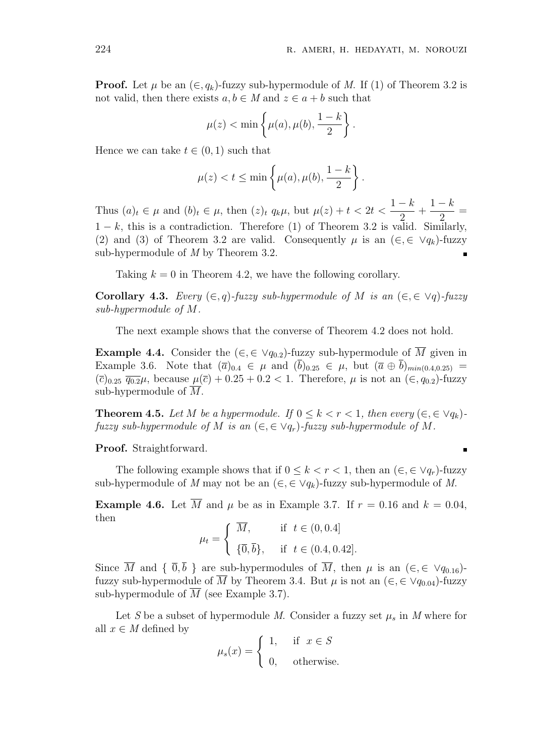**Proof.** Let  $\mu$  be an  $(\in, q_k)$ -fuzzy sub-hypermodule of *M*. If (1) of Theorem 3.2 is not valid, then there exists  $a, b \in M$  and  $z \in a + b$  such that

$$
\mu(z) < \min\left\{\mu(a), \mu(b), \frac{1-k}{2}\right\}.
$$

Hence we can take  $t \in (0, 1)$  such that

$$
\mu(z) < t \le \min\left\{\mu(a), \mu(b), \frac{1-k}{2}\right\}.
$$

Thus  $(a)_t \in \mu$  and  $(b)_t \in \mu$ , then  $(z)_t q_k \mu$ , but  $\mu(z) + t < 2t <$  $1 - k$ 2  $+\frac{1-k}{2}$ 2 = 1 *− k*, this is a contradiction. Therefore (1) of Theorem 3.2 is valid. Similarly, (2) and (3) of Theorem 3.2 are valid. Consequently  $\mu$  is an ( $\in$ ,  $\in$   $\vee$  $q_k$ )-fuzzy sub-hypermodule of *M* by Theorem 3.2.

Taking  $k = 0$  in Theorem 4.2, we have the following corollary.

**Corollary 4.3.** *Every*  $(\in, q)$ *-fuzzy sub-hypermodule of M is an*  $(\in, \in \vee q)$ *-fuzzy sub-hypermodule of M.*

The next example shows that the converse of Theorem 4.2 does not hold.

**Example 4.4.** Consider the  $(\in, \in \vee q_{0.2})$ -fuzzy sub-hypermodule of  $\overline{M}$  given in Example 3.6. Note that  $(\bar{a})_{0,4} \in \mu$  and  $(b)_{0,25} \in \mu$ , but  $(\bar{a} \oplus b)_{min(0,4,0,25)} =$  $(\bar{c})_{0.25}$   $\overline{q_{0.2}}\mu$ , because  $\mu(\bar{c}) + 0.25 + 0.2 < 1$ . Therefore,  $\mu$  is not an  $(\epsilon, q_{0.2})$ -fuzzy sub-hypermodule of *M*.

**Theorem 4.5.** Let M be a hypermodule. If  $0 \leq k < r < 1$ , then every  $(\in, \in \vee q_k)$ *fuzzy sub-hypermodule of M is an*  $(\epsilon, \epsilon \vee q_r)$ -*fuzzy sub-hypermodule of M.* 

**Proof.** Straightforward.

The following example shows that if  $0 \leq k \leq r \leq 1$ , then an  $(\in, \in \vee q_r)$ -fuzzy sub-hypermodule of *M* may not be an  $(\epsilon, \epsilon \vee q_k)$ -fuzzy sub-hypermodule of *M*.

**Example 4.6.** Let  $\overline{M}$  and  $\mu$  be as in Example 3.7. If  $r = 0.16$  and  $k = 0.04$ , then

$$
\mu_t = \begin{cases} \overline{M}, & \text{if } t \in (0, 0.4] \\ \{\overline{0}, \overline{b}\}, & \text{if } t \in (0.4, 0.42]. \end{cases}
$$

Since  $\overline{M}$  and  $\{\overline{0}, \overline{b}\}$  are sub-hypermodules of  $\overline{M}$ , then  $\mu$  is an  $(\in, \in \vee q_{0.16})$ fuzzy sub-hypermodule of  $\overline{M}$  by Theorem 3.4. But  $\mu$  is not an  $(\in, \in \vee q_{0.04})$ -fuzzy sub-hypermodule of  $\overline{M}$  (see Example 3.7).

Let *S* be a subset of hypermodule *M*. Consider a fuzzy set  $\mu_s$  in *M* where for all  $x \in M$  defined by

$$
\mu_s(x) = \begin{cases} 1, & \text{if } x \in S \\ 0, & \text{otherwise.} \end{cases}
$$

$$
\quad \blacksquare
$$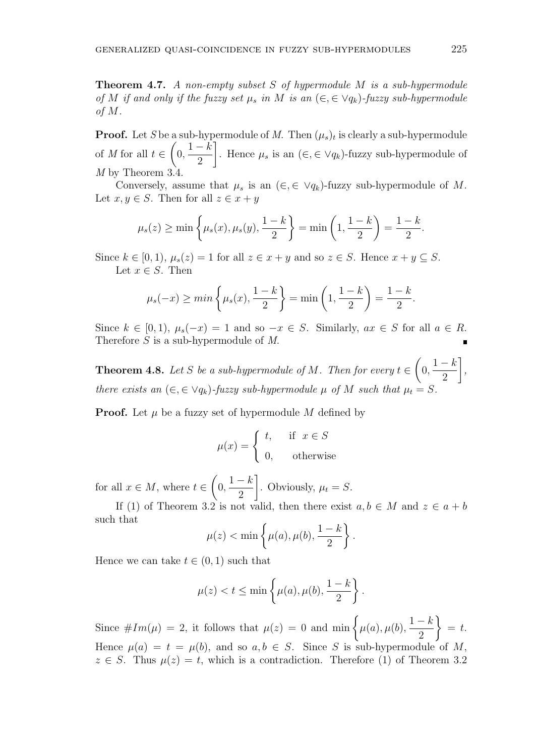**Theorem 4.7.** *A non-empty subset S of hypermodule M is a sub-hypermodule of M if and only if the fuzzy set*  $\mu_s$  *in M is an*  $(\in, \in \vee q_k)$ *-fuzzy sub-hypermodule of M.*

**Proof.** Let *S* be a sub-hypermodule of *M*. Then  $(\mu_s)_t$  is clearly a sub-hypermodule of *M* for all *t ∈*  $\sqrt{ }$  $0, \frac{1-k}{2}$ 2 ] . Hence  $\mu_s$  is an  $(\in, \in \forall q_k)$ -fuzzy sub-hypermodule of *M* by Theorem 3.4.

Conversely, assume that  $\mu_s$  is an  $(\in, \in \vee q_k)$ -fuzzy sub-hypermodule of M. Let  $x, y \in S$ . Then for all  $z \in x + y$ 

$$
\mu_s(z) \ge \min\left\{\mu_s(x), \mu_s(y), \frac{1-k}{2}\right\} = \min\left(1, \frac{1-k}{2}\right) = \frac{1-k}{2}.
$$

Since  $k \in [0, 1)$ ,  $\mu_s(z) = 1$  for all  $z \in x + y$  and so  $z \in S$ . Hence  $x + y \subseteq S$ . Let  $x \in S$ . Then

$$
\mu_s(-x) \ge \min\left\{\mu_s(x), \frac{1-k}{2}\right\} = \min\left(1, \frac{1-k}{2}\right) = \frac{1-k}{2}.
$$

Since  $k \in [0, 1)$ ,  $\mu_s(-x) = 1$  and so  $-x \in S$ . Similarly,  $ax \in S$  for all  $a \in R$ . Therefore *S* is a sub-hypermodule of *M*.

**Theorem 4.8.** Let *S* be a sub-hypermodule of *M*. Then for every  $t \in$  $\sqrt{ }$  $\frac{1-k}{2}$ 2 ] *, there exists an*  $(\epsilon, \epsilon \vee q_k)$ *-fuzzy sub-hypermodule*  $\mu$  *of*  $M$  *such that*  $\mu_t = S$ *.* 

**Proof.** Let  $\mu$  be a fuzzy set of hypermodule  $M$  defined by

$$
\mu(x) = \begin{cases} t, & \text{if } x \in S \\ 0, & \text{otherwise} \end{cases}
$$

for all  $x \in M$ , where  $t \in$  $\sqrt{ }$  $0, \frac{1-k}{2}$ 2 ] . Obviously,  $\mu_t = S$ .

If (1) of Theorem 3.2 is not valid, then there exist  $a, b \in M$  and  $z \in a + b$ such that

*.*

$$
\mu(z) < \min\left\{\mu(a), \mu(b), \frac{1-k}{2}\right\}
$$

Hence we can take  $t \in (0, 1)$  such that

$$
\mu(z) < t \le \min\left\{\mu(a), \mu(b), \frac{1-k}{2}\right\}.
$$

Since  $\#Im(\mu) = 2$ , it follows that  $\mu(z) = 0$  and  $\min \left\{ \mu(a), \mu(b), \frac{1-k}{2} \right\}$ 2  $\lambda$ = *t*. Hence  $\mu(a) = t = \mu(b)$ , and so  $a, b \in S$ . Since *S* is sub-hypermodule of *M*,  $z \in S$ . Thus  $\mu(z) = t$ , which is a contradiction. Therefore (1) of Theorem 3.2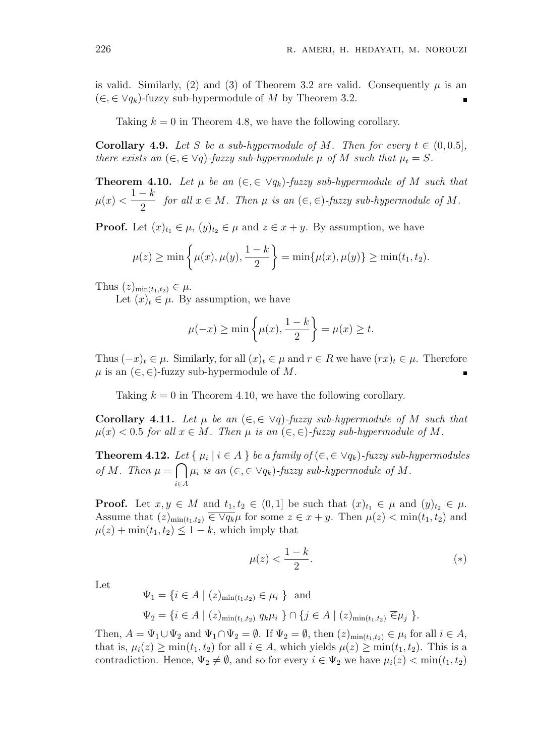is valid. Similarly, (2) and (3) of Theorem 3.2 are valid. Consequently  $\mu$  is an (*∈,∈ ∨qk*)-fuzzy sub-hypermodule of *M* by Theorem 3.2.

Taking  $k = 0$  in Theorem 4.8, we have the following corollary.

**Corollary 4.9.** *Let S be a sub-hypermodule of M. Then for every*  $t \in (0, 0.5]$ *, there exists an*  $(\epsilon, \epsilon \lor q)$ *-fuzzy sub-hypermodule*  $\mu$  *of*  $M$  *such that*  $\mu_t = S$ *.* 

**Theorem 4.10.** Let  $\mu$  be an  $(\epsilon, \epsilon \vee q_k)$ -fuzzy sub-hypermodule of M such that  $\mu(x) < \frac{1-k}{2}$  $\frac{\pi}{2}$  *for all*  $x \in M$ *. Then*  $\mu$  *is an*  $(\infty, \in)$ *-fuzzy sub-hypermodule of*  $M$ *.* 

**Proof.** Let  $(x)_{t_1} \in \mu$ ,  $(y)_{t_2} \in \mu$  and  $z \in x + y$ . By assumption, we have

$$
\mu(z) \ge \min\left\{\mu(x), \mu(y), \frac{1-k}{2}\right\} = \min\{\mu(x), \mu(y)\} \ge \min(t_1, t_2).
$$

Thus  $(z)_{\min(t_1,t_2)} \in \mu$ .

Let  $(x)_t \in \mu$ . By assumption, we have

$$
\mu(-x) \ge \min\left\{\mu(x), \frac{1-k}{2}\right\} = \mu(x) \ge t.
$$

Thus  $(-x)_t \in \mu$ . Similarly, for all  $(x)_t \in \mu$  and  $r \in R$  we have  $(rx)_t \in \mu$ . Therefore  $\mu$  is an  $(\in, \in)$ -fuzzy sub-hypermodule of M.

Taking  $k = 0$  in Theorem 4.10, we have the following corollary.

**Corollary 4.11.** Let  $\mu$  be an  $(\epsilon, \epsilon \lor q)$ -fuzzy sub-hypermodule of M such that  $\mu(x) < 0.5$  *for all*  $x \in M$ *. Then*  $\mu$  *is an*  $(\in, \in)$ *-fuzzy sub-hypermodule of* M.

**Theorem 4.12.** Let  $\{ \mu_i \mid i \in A \}$  be a family of  $(\in, \in \vee q_k)$ -fuzzy sub-hypermodules *of M. Then*  $\mu = \bigcap \mu_i$  *is an*  $(\in, \in \vee q_k)$ *-fuzzy sub-hypermodule of M. i∈A*

**Proof.** Let  $x, y \in M$  and  $t_1, t_2 \in (0, 1]$  be such that  $(x)_{t_1} \in \mu$  and  $(y)_{t_2} \in \mu$ . Assume that  $(z)_{\min(t_1,t_2)} \in \forall q_k \mu$  for some  $z \in x + y$ . Then  $\mu(z) < \min(t_1, t_2)$  and  $\mu(z) + \min(t_1, t_2) \leq 1 - k$ , which imply that

$$
\mu(z) < \frac{1-k}{2}.\tag{*}
$$

Let

$$
\Psi_1 = \{ i \in A \mid (z)_{\min(t_1, t_2)} \in \mu_i \} \text{ and}
$$
  

$$
\Psi_2 = \{ i \in A \mid (z)_{\min(t_1, t_2)} q_k \mu_i \} \cap \{ j \in A \mid (z)_{\min(t_1, t_2)} \overline{\in} \mu_j \}.
$$

Then,  $A = \Psi_1 \cup \Psi_2$  and  $\Psi_1 \cap \Psi_2 = \emptyset$ . If  $\Psi_2 = \emptyset$ , then  $(z)_{\min(t_1, t_2)} \in \mu_i$  for all  $i \in A$ , that is,  $\mu_i(z) \ge \min(t_1, t_2)$  for all  $i \in A$ , which yields  $\mu(z) \ge \min(t_1, t_2)$ . This is a contradiction. Hence,  $\Psi_2 \neq \emptyset$ , and so for every  $i \in \Psi_2$  we have  $\mu_i(z) < \min(t_1, t_2)$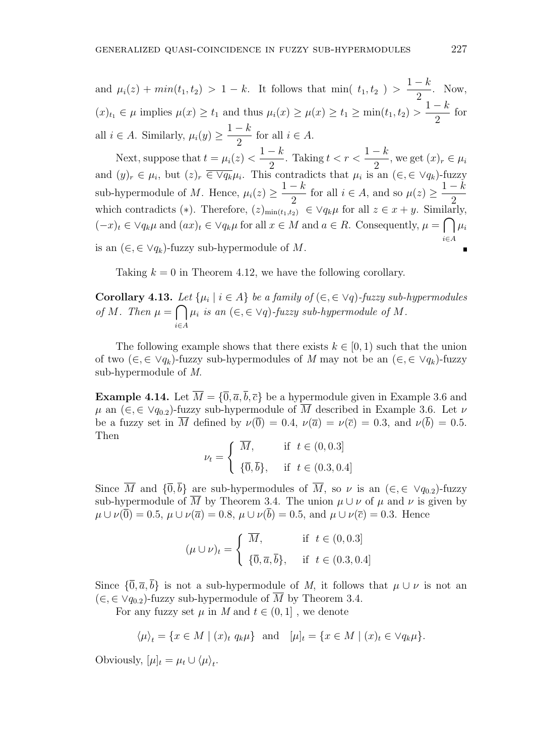and  $\mu_i(z) + \min(t_1, t_2) > 1 - k$ . It follows that min(  $t_1, t_2$ ) >  $1 - k$ 2 . Now,  $f(x)_{t_1} \in \mu$  implies  $\mu(x) \ge t_1$  and thus  $\mu_i(x) \ge \mu(x) \ge t_1 \ge \min(t_1, t_2) >$ 1 *− k* 2 for all  $i \in A$ . Similarly,  $\mu_i(y) \geq$  $1 - k$  $\frac{\pi}{2}$  for all  $i \in A$ .

Next, suppose that  $t = \mu_i(z)$ 1 *− k* 2 . Taking  $t < r < \frac{1-k}{2}$  $\frac{n}{2}$ , we get  $(x)_r \in \mu_i$ and  $(y)_r \in \mu_i$ , but  $(z)_r \in \overline{\vee q_k} \mu_i$ . This contradicts that  $\mu_i$  is an  $(\in, \in \vee q_k)$ -fuzzy sub-hypermodule of *M*. Hence,  $\mu_i(z) \geq$  $1 - k$  $\frac{\pi}{2}$  for all  $i \in A$ , and so  $\mu(z) \geq$ 1 *− k* 2 which contradicts (\*). Therefore,  $(z)_{\min(t_1,t_2)} \in \forall q_k \mu$  for all  $z \in x + y$ . Similarly,  $(-x)_t \in \vee q_k \mu$  and  $(ax)_t \in \vee q_k \mu$  for all  $x \in M$  and  $a \in R$ . Consequently,  $\mu = \bigcap \mu_i$ *i∈A* is an (*∈,∈ ∨qk*)-fuzzy sub-hypermodule of *M*.

Taking  $k = 0$  in Theorem 4.12, we have the following corollary.

**Corollary 4.13.** Let  $\{\mu_i \mid i \in A\}$  be a family of  $(\in, \in \forall q)$ -fuzzy sub-hypermodules *of M. Then*  $\mu = \bigcap \mu_i$  *is an*  $(\in, \in \forall q)$ *-fuzzy sub-hypermodule of M. i∈A*

The following example shows that there exists  $k \in [0, 1)$  such that the union of two  $(\epsilon, \epsilon \vee q_k)$ -fuzzy sub-hypermodules of *M* may not be an  $(\epsilon, \epsilon \vee q_k)$ -fuzzy sub-hypermodule of *M*.

**Example 4.14.** Let  $\overline{M} = {\overline{0}, \overline{a}, \overline{b}, \overline{c}}$  be a hypermodule given in Example 3.6 and  $\mu$  an ( $\in$ ,  $\in$   $\vee$  $q_{0,2}$ )-fuzzy sub-hypermodule of  $\overline{M}$  described in Example 3.6. Let  $\nu$ be a fuzzy set in  $\overline{M}$  defined by  $\nu(\overline{0}) = 0.4$ ,  $\nu(\overline{a}) = \nu(\overline{c}) = 0.3$ , and  $\nu(\overline{b}) = 0.5$ . Then

$$
\nu_t = \begin{cases} \overline{M}, & \text{if } t \in (0, 0.3] \\ \{\overline{0}, \overline{b}\}, & \text{if } t \in (0.3, 0.4] \end{cases}
$$

Since  $\overline{M}$  and  ${\{\overline{0}, \overline{b}\}}$  are sub-hypermodules of  $\overline{M}$ , so  $\nu$  is an  $(\in, \in \vee q_{0.2})$ -fuzzy sub-hypermodule of  $\overline{M}$  by Theorem 3.4. The union  $\mu \cup \nu$  of  $\mu$  and  $\nu$  is given by  $\mu \cup \nu(\overline{0}) = 0.5$ ,  $\mu \cup \nu(\overline{a}) = 0.8$ ,  $\mu \cup \nu(\overline{b}) = 0.5$ , and  $\mu \cup \nu(\overline{c}) = 0.3$ . Hence

$$
(\mu \cup \nu)_t = \begin{cases} \overline{M}, & \text{if } t \in (0, 0.3] \\ \{\overline{0}, \overline{a}, \overline{b}\}, & \text{if } t \in (0.3, 0.4] \end{cases}
$$

Since  $\{\overline{0}, \overline{a}, \overline{b}\}$  is not a sub-hypermodule of *M*, it follows that  $\mu \cup \nu$  is not an  $(\in$ *√* $q_{0,2}$ )-fuzzy sub-hypermodule of  $\overline{M}$  by Theorem 3.4.

For any fuzzy set  $\mu$  in  $M$  and  $t \in (0,1]$ , we denote

$$
\langle \mu \rangle_t = \{ x \in M \mid (x)_t q_k \mu \}
$$
 and  $[\mu]_t = \{ x \in M \mid (x)_t \in \forall q_k \mu \}.$ 

Obviously,  $[\mu]_t = \mu_t \cup \langle \mu \rangle_t$ .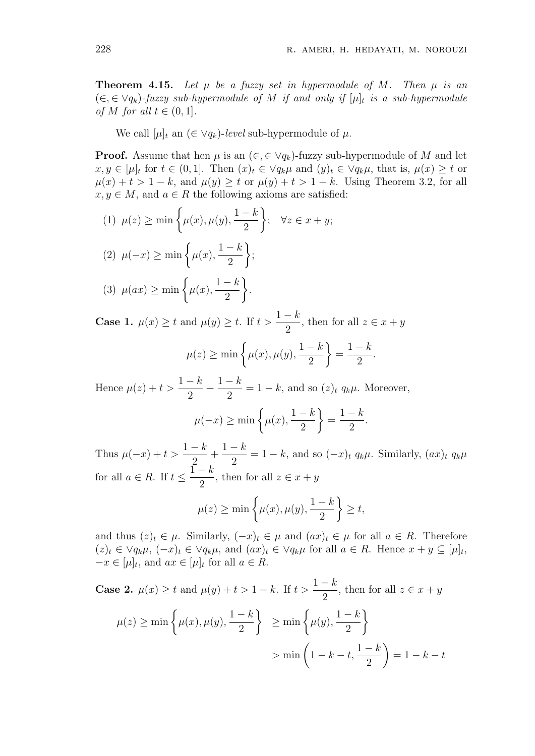**Theorem 4.15.** Let  $\mu$  be a fuzzy set in hypermodule of M. Then  $\mu$  is an (*∈,∈ ∨qk*)*-fuzzy sub-hypermodule of M if and only if* [*µ*]*<sup>t</sup> is a sub-hypermodule of M for all*  $t \in (0, 1]$ *.* 

We call  $[\mu]_t$  an  $(\in \vee q_k)$ -*level* sub-hypermodule of  $\mu$ .

**Proof.** Assume that hen  $\mu$  is an  $(\epsilon, \epsilon \vee q_k)$ -fuzzy sub-hypermodule of M and let  $x, y \in [\mu]_t$  for  $t \in (0,1]$ . Then  $(x)_t \in \vee q_k \mu$  and  $(y)_t \in \vee q_k \mu$ , that is,  $\mu(x) \geq t$  or  $\mu(x) + t > 1 - k$ , and  $\mu(y) \geq t$  or  $\mu(y) + t > 1 - k$ . Using Theorem 3.2, for all  $x, y \in M$ , and  $a \in R$  the following axioms are satisfied:

(1) 
$$
\mu(z) \ge \min\left\{\mu(x), \mu(y), \frac{1-k}{2}\right\}; \quad \forall z \in x+y;
$$
  
\n(2)  $\mu(-x) \ge \min\left\{\mu(x), \frac{1-k}{2}\right\};$   
\n(3)  $\mu(ax) \ge \min\left\{\mu(x), \frac{1-k}{2}\right\}.$ 

**Case 1.**  $\mu(x) \geq t$  and  $\mu(y) \geq t$ . If  $t >$ 1 *− k*  $\frac{\pi}{2}$ , then for all  $z \in x + y$ 

$$
\mu(z) \ge \min\left\{\mu(x), \mu(y), \frac{1-k}{2}\right\} = \frac{1-k}{2}.
$$

Hence  $\mu(z) + t > \frac{1-k}{2}$ 2  $+\frac{1-k}{2}$  $\frac{k}{2} = 1 - k$ , and so  $(z)_t q_k \mu$ . Moreover,

$$
\mu(-x) \ge \min\left\{\mu(x), \frac{1-k}{2}\right\} = \frac{1-k}{2}.
$$

Thus  $\mu(-x) + t$ 1 *− k* 2  $+\frac{1-k}{2}$  $\frac{a}{2}$  = 1 − *k*, and so  $(-x)$ *t*  $q_k\mu$ . Similarly,  $(ax)$ *t*  $q_k\mu$ for all  $a \in R$ . If  $t \leq$  $\overline{1} - k$  $\frac{\pi}{2}$ , then for all  $z \in x + y$ 

$$
\mu(z) \ge \min\left\{\mu(x), \mu(y), \frac{1-k}{2}\right\} \ge t,
$$

and thus  $(z)_t \in \mu$ . Similarly,  $(-x)_t \in \mu$  and  $(ax)_t \in \mu$  for all  $a \in R$ . Therefore  $(z)_t \in \vee q_k \mu$ ,  $(-x)_t \in \vee q_k \mu$ , and  $(ax)_t \in \vee q_k \mu$  for all  $a \in R$ . Hence  $x + y \subseteq [\mu]_t$ ,  $-x \in [\mu]_t$ , and  $ax \in [\mu]_t$  for all  $a \in R$ .

Case 2. 
$$
\mu(x) \ge t
$$
 and  $\mu(y) + t > 1 - k$ . If  $t > \frac{1 - k}{2}$ , then for all  $z \in x + y$   
\n
$$
\mu(z) \ge \min\left\{\mu(x), \mu(y), \frac{1 - k}{2}\right\} \ge \min\left\{\mu(y), \frac{1 - k}{2}\right\}
$$
\n
$$
> \min\left(1 - k - t, \frac{1 - k}{2}\right) = 1 - k - t
$$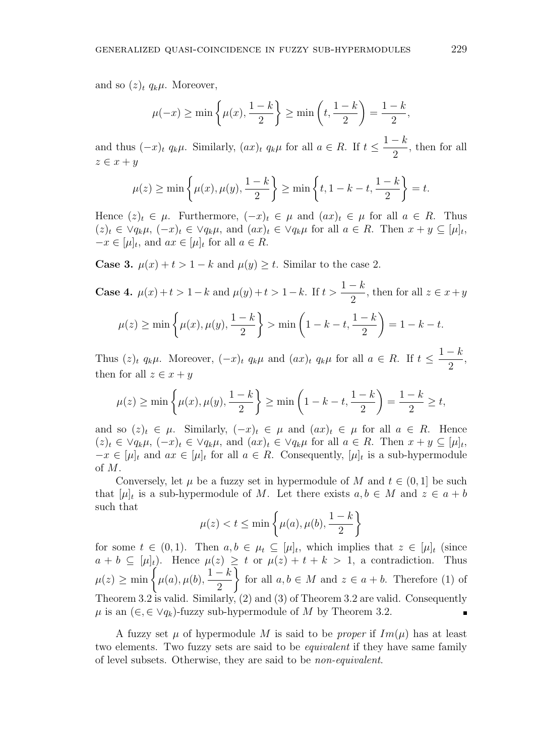and so  $(z)_t$   $q_k\mu$ . Moreover,

$$
\mu(-x) \ge \min\left\{\mu(x), \frac{1-k}{2}\right\} \ge \min\left(t, \frac{1-k}{2}\right) = \frac{1-k}{2},
$$

and thus  $(-x)_t q_k \mu$ . Similarly,  $(ax)_t q_k \mu$  for all  $a \in R$ . If  $t \leq$  $1 - k$ 2 , then for all *z ∈ x* + *y*

$$
\mu(z) \ge \min\left\{\mu(x), \mu(y), \frac{1-k}{2}\right\} \ge \min\left\{t, 1-k-t, \frac{1-k}{2}\right\} = t.
$$

Hence  $(z)_t \in \mu$ . Furthermore,  $(-x)_t \in \mu$  and  $(ax)_t \in \mu$  for all  $a \in R$ . Thus  $(z)_t \in \forall q_k \mu$ ,  $(-x)_t \in \forall q_k \mu$ , and  $(ax)_t \in \forall q_k \mu$  for all  $a \in R$ . Then  $x + y \subseteq [\mu]_t$ ,  $-x \in [\mu]_t$ , and  $ax \in [\mu]_t$  for all  $a \in R$ .

**Case 3.**  $\mu(x) + t > 1 - k$  and  $\mu(y) \geq t$ . Similar to the case 2.

Case 4. 
$$
\mu(x) + t > 1 - k
$$
 and  $\mu(y) + t > 1 - k$ . If  $t > \frac{1 - k}{2}$ , then for all  $z \in x + y$   

$$
\mu(z) \ge \min\left\{\mu(x), \mu(y), \frac{1 - k}{2}\right\} > \min\left(1 - k - t, \frac{1 - k}{2}\right) = 1 - k - t.
$$

Thus  $(z)_t$   $q_k\mu$ . Moreover,  $(-x)_t$   $q_k\mu$  and  $(ax)_t$   $q_k\mu$  for all  $a \in R$ . If  $t \leq$  $1 - k$ 2 , then for all  $z \in x + y$ 

$$
\mu(z) \ge \min\left\{\mu(x), \mu(y), \frac{1-k}{2}\right\} \ge \min\left(1 - k - t, \frac{1-k}{2}\right) = \frac{1-k}{2} \ge t,
$$

and so  $(z)_t \in \mu$ . Similarly,  $(-x)_t \in \mu$  and  $(ax)_t \in \mu$  for all  $a \in R$ . Hence  $(z)_t \in \forall q_k \mu$ ,  $(-x)_t \in \forall q_k \mu$ , and  $(ax)_t \in \forall q_k \mu$  for all  $a \in R$ . Then  $x + y \subseteq [\mu]_t$ ,  $-x \in [\mu]_t$  and  $ax \in [\mu]_t$  for all  $a \in R$ . Consequently,  $[\mu]_t$  is a sub-hypermodule of *M*.

Conversely, let  $\mu$  be a fuzzy set in hypermodule of  $M$  and  $t \in (0,1]$  be such that  $[\mu]_t$  is a sub-hypermodule of *M*. Let there exists  $a, b \in M$  and  $z \in a + b$ such that

$$
\mu(z) < t \le \min\left\{\mu(a), \mu(b), \frac{1-k}{2}\right\}
$$

for some  $t \in (0,1)$ . Then  $a, b \in \mu_t \subseteq [\mu]_t$ , which implies that  $z \in [\mu]_t$  (since  $a + b \subseteq [\mu]_t$ . Hence  $\mu(z) \geq t$  or  $\mu(z) + t + k > 1$ , a contradiction. Thus  $\mu(z) \ge \min \left\{ \mu(a), \mu(b), \frac{1-k}{2} \right\}$ 2  $\lambda$ for all  $a, b \in M$  and  $z \in a + b$ . Therefore (1) of Theorem 3.2 is valid. Similarly, (2) and (3) of Theorem 3.2 are valid. Consequently *µ* is an  $(∈, ∈ ∨q<sub>k</sub>)$ -fuzzy sub-hypermodule of *M* by Theorem 3.2.

A fuzzy set  $\mu$  of hypermodule M is said to be *proper* if  $Im(\mu)$  has at least two elements. Two fuzzy sets are said to be *equivalent* if they have same family of level subsets. Otherwise, they are said to be *non-equivalent*.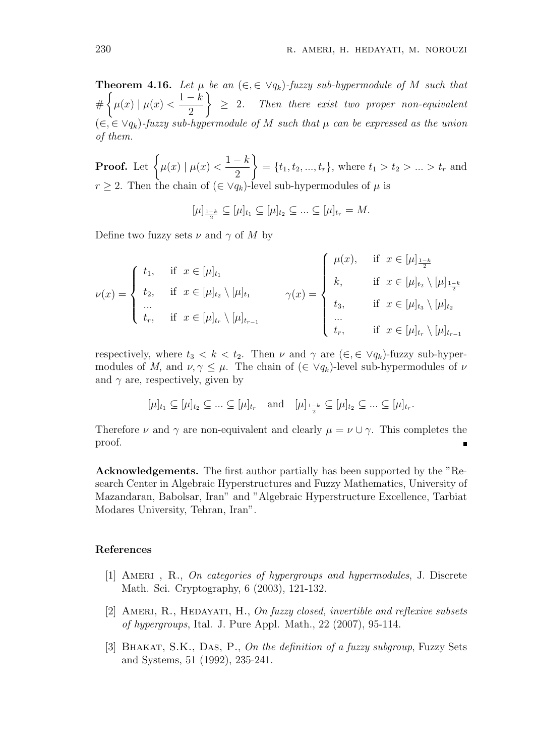**Theorem 4.16.** Let  $\mu$  be an  $(\epsilon, \epsilon \lor q_k)$ -fuzzy sub-hypermodule of M such that  $#$  $\sqrt{ }$  $\mu(x) | \mu(x)$  $1 - k$ 2  $\lambda$ *≥* 2*. Then there exist two proper non-equivalent* (*∈,∈ ∨qk*)*-fuzzy sub-hypermodule of M such that µ can be expressed as the union of them.*

**Proof.** Let  $\left\{ \mu(x) \mid \mu(x) \right\}$  $1 - k$ 2  $\lambda$  $= \{t_1, t_2, ..., t_r\},$  where  $t_1 > t_2 > ... > t_r$  and *r*  $\geq$  2. Then the chain of  $(\in \vee q_k)$ -level sub-hypermodules of  $\mu$  is

 $[\mu]_{\frac{1-k}{2}} \subseteq [\mu]_{t_1} \subseteq [\mu]_{t_2} \subseteq ... \subseteq [\mu]_{t_r} = M.$ 

Define two fuzzy sets  $\nu$  and  $\gamma$  of M by

$$
\nu(x) = \begin{cases} t_1, & \text{if } x \in [\mu]_{t_1} \\ t_2, & \text{if } x \in [\mu]_{t_2} \setminus [\mu]_{t_1} \\ \dots \\ t_r, & \text{if } x \in [\mu]_{t_r} \setminus [\mu]_{t_{r-1}} \end{cases} \qquad \gamma(x) = \begin{cases} \mu(x), & \text{if } x \in [\mu]_{\frac{1-k}{2}} \\ k, & \text{if } x \in [\mu]_{t_2} \setminus [\mu]_{\frac{1-k}{2}} \\ t_3, & \text{if } x \in [\mu]_{t_3} \setminus [\mu]_{t_2} \\ \dots \\ t_r, & \text{if } x \in [\mu]_{t_r} \setminus [\mu]_{t_{r-1}} \end{cases}
$$

respectively, where  $t_3 < k < t_2$ . Then  $\nu$  and  $\gamma$  are  $(\epsilon, \epsilon \lor q_k)$ -fuzzy sub-hypermodules of *M*, and  $\nu, \gamma \leq \mu$ . The chain of  $(\in \vee q_k)$ -level sub-hypermodules of  $\nu$ and  $\gamma$  are, respectively, given by

$$
[\mu]_{t_1} \subseteq [\mu]_{t_2} \subseteq \ldots \subseteq [\mu]_{t_r}
$$
 and  $[\mu]_{\frac{1-k}{2}} \subseteq [\mu]_{t_2} \subseteq \ldots \subseteq [\mu]_{t_r}$ .

Therefore *ν* and  $\gamma$  are non-equivalent and clearly  $\mu = \nu \cup \gamma$ . This completes the proof. ٠

**Acknowledgements.** The first author partially has been supported by the "Research Center in Algebraic Hyperstructures and Fuzzy Mathematics, University of Mazandaran, Babolsar, Iran" and "Algebraic Hyperstructure Excellence, Tarbiat Modares University, Tehran, Iran".

### **References**

- [1] Ameri , R., *On categories of hypergroups and hypermodules*, J. Discrete Math. Sci. Cryptography, 6 (2003), 121-132.
- [2] Ameri, R., Hedayati, H., *On fuzzy closed, invertible and reflexive subsets of hypergroups*, Ital. J. Pure Appl. Math., 22 (2007), 95-114.
- [3] Bhakat, S.K., Das, P., *On the definition of a fuzzy subgroup*, Fuzzy Sets and Systems, 51 (1992), 235-241.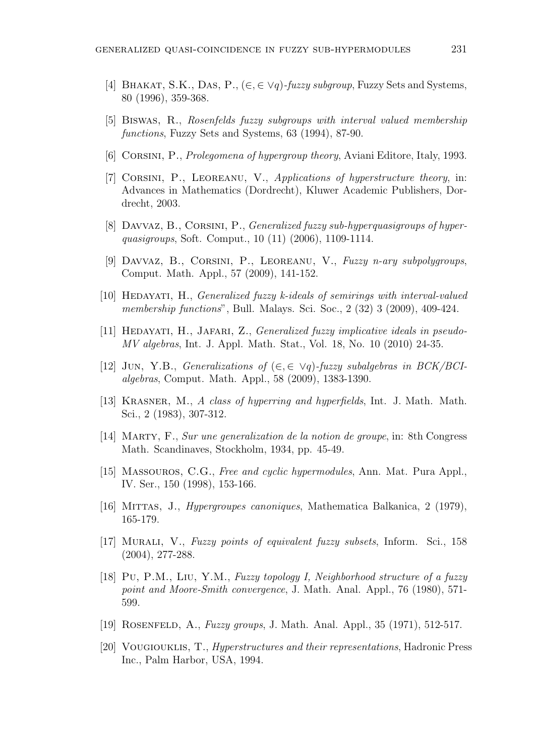- [4] Bhakat, S.K., Das, P., (*∈,∈ ∨q*)*-fuzzy subgroup*, Fuzzy Sets and Systems, 80 (1996), 359-368.
- [5] Biswas, R., *Rosenfelds fuzzy subgroups with interval valued membership functions*, Fuzzy Sets and Systems, 63 (1994), 87-90.
- [6] Corsini, P., *Prolegomena of hypergroup theory*, Aviani Editore, Italy, 1993.
- [7] Corsini, P., Leoreanu, V., *Applications of hyperstructure theory*, in: Advances in Mathematics (Dordrecht), Kluwer Academic Publishers, Dordrecht, 2003.
- [8] Davvaz, B., Corsini, P., *Generalized fuzzy sub-hyperquasigroups of hyperquasigroups*, Soft. Comput., 10 (11) (2006), 1109-1114.
- [9] Davvaz, B., Corsini, P., Leoreanu, V., *Fuzzy n-ary subpolygroups*, Comput. Math. Appl., 57 (2009), 141-152.
- [10] Hedayati, H., *Generalized fuzzy k-ideals of semirings with interval-valued membership functions*", Bull. Malays. Sci. Soc., 2 (32) 3 (2009), 409-424.
- [11] Hedayati, H., Jafari, Z., *Generalized fuzzy implicative ideals in pseudo-MV algebras*, Int. J. Appl. Math. Stat., Vol. 18, No. 10 (2010) 24-35.
- [12] Jun, Y.B., *Generalizations of* (*∈,∈ ∨q*)*-fuzzy subalgebras in BCK/BCIalgebras*, Comput. Math. Appl., 58 (2009), 1383-1390.
- [13] Krasner, M., *A class of hyperring and hyperfields*, Int. J. Math. Math. Sci., 2 (1983), 307-312.
- [14] Marty, F., *Sur une generalization de la notion de groupe*, in: 8th Congress Math. Scandinaves, Stockholm, 1934, pp. 45-49.
- [15] Massouros, C.G., *Free and cyclic hypermodules*, Ann. Mat. Pura Appl., IV. Ser., 150 (1998), 153-166.
- [16] Mittas, J., *Hypergroupes canoniques*, Mathematica Balkanica, 2 (1979), 165-179.
- [17] Murali, V., *Fuzzy points of equivalent fuzzy subsets*, Inform. Sci., 158 (2004), 277-288.
- [18] Pu, P.M., Liu, Y.M., *Fuzzy topology I, Neighborhood structure of a fuzzy point and Moore-Smith convergence*, J. Math. Anal. Appl., 76 (1980), 571- 599.
- [19] Rosenfeld, A., *Fuzzy groups*, J. Math. Anal. Appl., 35 (1971), 512-517.
- [20] Vougiouklis, T., *Hyperstructures and their representations*, Hadronic Press Inc., Palm Harbor, USA, 1994.